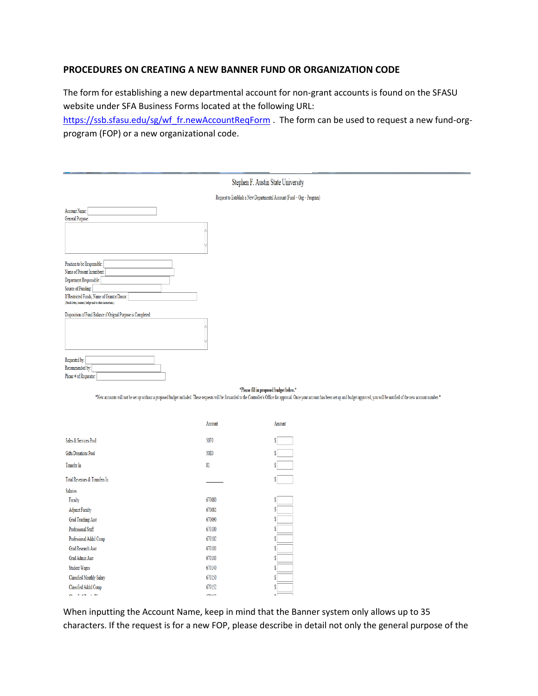## **PROCEDURES ON CREATING A NEW BANNER FUND OR ORGANIZATION CODE**

The form for establishing a new departmental account for non-grant accounts is found on the SFASU website under SFA Business Forms located at the following URL:

[https://ssb.sfasu.edu/sg/wf\\_fr.newAccountReqForm](https://ssb.sfasu.edu/sg/wf_fr.newAccountReqForm) . The form can be used to request a new fund-orgprogram (FOP) or a new organizational code.

| Stephen F. Austin State University                                                                                                                                                                                        |                                                                        |  |  |
|---------------------------------------------------------------------------------------------------------------------------------------------------------------------------------------------------------------------------|------------------------------------------------------------------------|--|--|
|                                                                                                                                                                                                                           | Request to Establish a New Departmental Account (Fund - Org - Program) |  |  |
| Account Name:<br>General Purpose:                                                                                                                                                                                         |                                                                        |  |  |
| Position to be Responsible:<br>Name of Present Incumbent:<br>Department Responsible:<br>Source of Funding:<br>If Restricted Funds, Name of Grantor/Donor:<br>(Attach letter, contract, budget and/or other instructions.) |                                                                        |  |  |
| Disposition of Fund Balance if Orignal Purpose is Completed:                                                                                                                                                              |                                                                        |  |  |
| Requested by:<br>Recommended by:<br>Phone # of Requestor:                                                                                                                                                                 |                                                                        |  |  |
| *Please fill in proposed budget below.*                                                                                                                                                                                   |                                                                        |  |  |

\*New accounts will not be set up without a proposed budget included. These requests will be forwarded to the Controller's Office for approval. Once your account has been set up and budget approved, you will be notified of

|                                  | Account | Amount |
|----------------------------------|---------|--------|
| Sales & Services Pool            | 50F0    |        |
| Gifts/Donations Pool             | 50E0    |        |
| <b>Transfer In</b>               | 81      |        |
| Total Revenues & Transfers In    |         |        |
| <b>Salaries</b>                  |         |        |
| Faculty                          | 670080  |        |
| <b>Adjunct Faculty</b>           | 670081  | S      |
| <b>Grad Teaching Asst</b>        | 670090  | S      |
| Professional Staff               | 670100  | S      |
| Professional Addnl Comp          | 670102  |        |
| <b>Grad Research Asst</b>        | 670101  | S      |
| Grad Admin Asst                  | 670103  | S      |
| <b>Student Wages</b>             | 670140  |        |
| <b>Classified Monthly Salary</b> | 670150  |        |
| Classified Addnl Comp            | 670152  |        |
| C1.77.117.110                    | 170152  | ۰۱     |

When inputting the Account Name, keep in mind that the Banner system only allows up to 35 characters. If the request is for a new FOP, please describe in detail not only the general purpose of the